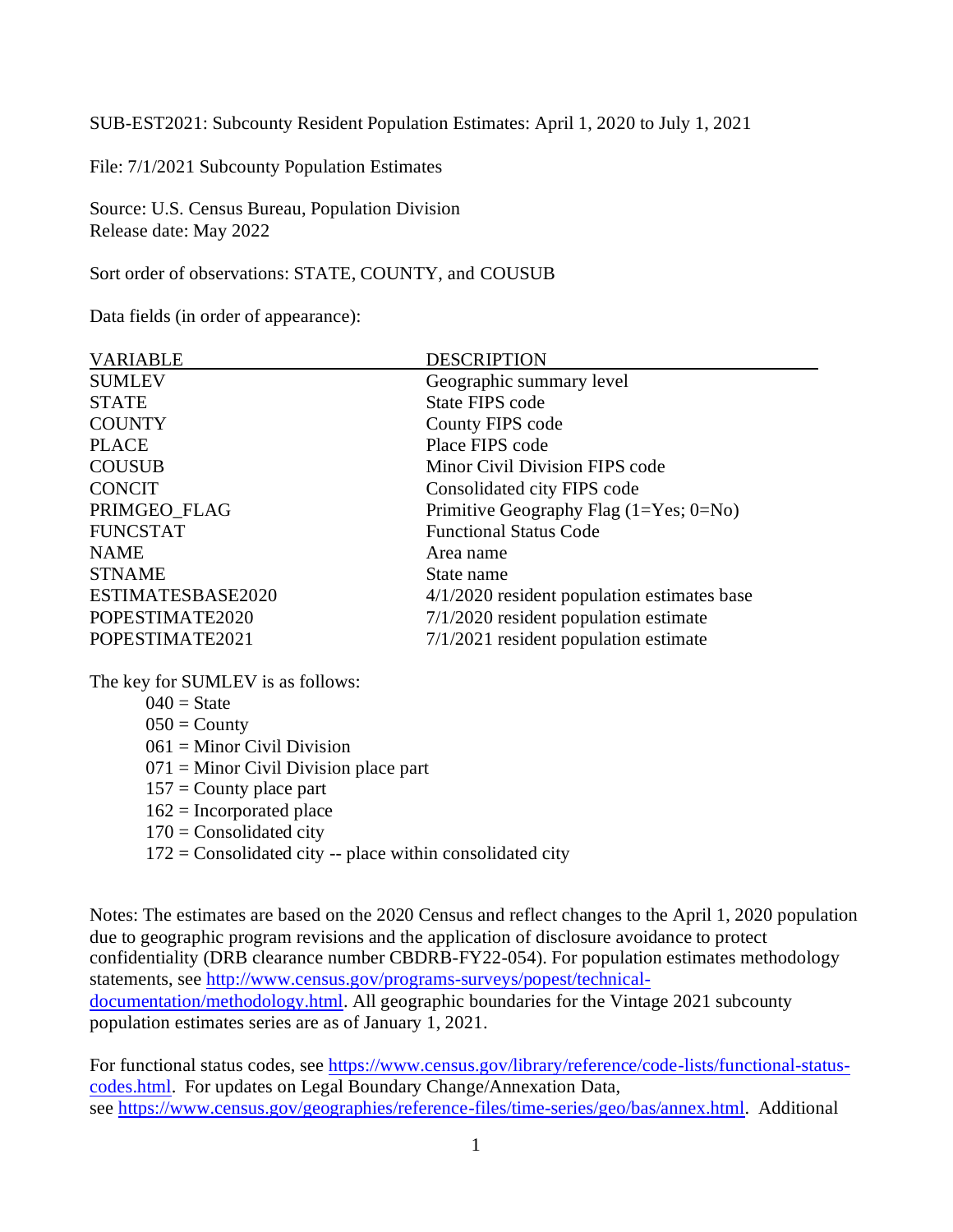SUB-EST2021: Subcounty Resident Population Estimates: April 1, 2020 to July 1, 2021

File: 7/1/2021 Subcounty Population Estimates

Source: U.S. Census Bureau, Population Division Release date: May 2022

Sort order of observations: STATE, COUNTY, and COUSUB

Data fields (in order of appearance):

| <b>SUMLEV</b><br>Geographic summary level<br><b>STATE</b><br>State FIPS code<br><b>COUNTY</b><br>County FIPS code<br>Place FIPS code<br><b>PLACE</b><br><b>COUSUB</b><br>Minor Civil Division FIPS code<br><b>CONCIT</b><br>Consolidated city FIPS code<br>PRIMGEO_FLAG<br>Primitive Geography Flag $(1 = Yes; 0 = No)$<br><b>FUNCSTAT</b><br><b>Functional Status Code</b><br><b>NAME</b><br>Area name<br><b>STNAME</b><br>State name<br>ESTIMATESBASE2020<br>$4/1/2020$ resident population estimates base | <b>VARIABLE</b> | <b>DESCRIPTION</b>                      |
|--------------------------------------------------------------------------------------------------------------------------------------------------------------------------------------------------------------------------------------------------------------------------------------------------------------------------------------------------------------------------------------------------------------------------------------------------------------------------------------------------------------|-----------------|-----------------------------------------|
|                                                                                                                                                                                                                                                                                                                                                                                                                                                                                                              |                 |                                         |
|                                                                                                                                                                                                                                                                                                                                                                                                                                                                                                              |                 |                                         |
|                                                                                                                                                                                                                                                                                                                                                                                                                                                                                                              |                 |                                         |
|                                                                                                                                                                                                                                                                                                                                                                                                                                                                                                              |                 |                                         |
|                                                                                                                                                                                                                                                                                                                                                                                                                                                                                                              |                 |                                         |
|                                                                                                                                                                                                                                                                                                                                                                                                                                                                                                              |                 |                                         |
|                                                                                                                                                                                                                                                                                                                                                                                                                                                                                                              |                 |                                         |
|                                                                                                                                                                                                                                                                                                                                                                                                                                                                                                              |                 |                                         |
|                                                                                                                                                                                                                                                                                                                                                                                                                                                                                                              |                 |                                         |
|                                                                                                                                                                                                                                                                                                                                                                                                                                                                                                              |                 |                                         |
|                                                                                                                                                                                                                                                                                                                                                                                                                                                                                                              |                 |                                         |
|                                                                                                                                                                                                                                                                                                                                                                                                                                                                                                              | POPESTIMATE2020 | $7/1/2020$ resident population estimate |
| $7/1/2021$ resident population estimate<br>POPESTIMATE2021                                                                                                                                                                                                                                                                                                                                                                                                                                                   |                 |                                         |

The key for SUMLEV is as follows:

 $040 =$ State  $050 =$  County  $061 =$ Minor Civil Division = Minor Civil Division place part = County place part = Incorporated place = Consolidated city = Consolidated city -- place within consolidated city

Notes: The estimates are based on the 2020 Census and reflect changes to the April 1, 2020 population due to geographic program revisions and the application of disclosure avoidance to protect confidentiality (DRB clearance number CBDRB-FY22-054). For population estimates methodology statements, see [http://www.census.gov/programs-surveys/popest/technical](http://www.census.gov/programs-surveys/popest/technical-documentation/methodology.html)[documentation/methodology.html.](http://www.census.gov/programs-surveys/popest/technical-documentation/methodology.html) All geographic boundaries for the Vintage 2021 subcounty population estimates series are as of January 1, 2021.

For functional status codes, see [https://www.census.gov/library/reference/code-lists/functional-status](https://www.census.gov/library/reference/code-lists/functional-status-codes.html)[codes.html.](https://www.census.gov/library/reference/code-lists/functional-status-codes.html) For updates on Legal Boundary Change/Annexation Data, see [https://www.census.gov/geographies/reference-files/time-series/geo/bas/annex.html.](https://www.census.gov/geographies/reference-files/time-series/geo/bas/annex.html) Additional